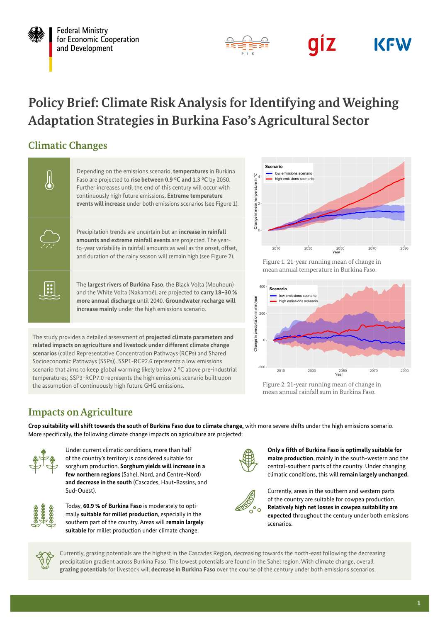

**Federal Ministry** for Economic Cooperation and Development



### giz **KFW**

# **Policy Brief: Climate Risk Analysis for Identifying and Weighing Adaptation Strategies in Burkina Faso's Agricultural Sector**

## **Climatic Changes**

Depending on the emissions scenario, **temperatures** in Burkina Faso are projected to **rise between 0.9 °C and 1.3 °C** by 2050. Further increases until the end of this century will occur with continuously high future emissions**. Extreme temperature events will increase** under both emissions scenarios (see Figure 1). Precipitation trends are uncertain but an **increase in rainfall amounts and extreme rainfall events** are projected. The yearto-year variability in rainfall amounts as well as the onset, offset, and duration of the rainy season will remain high (see Figure 2).

> The **largest rivers of Burkina Faso**, the Black Volta (Mouhoun) and the White Volta (Nakambé), are projected to **carry 18–30 % more annual discharge** until 2040. **Groundwater recharge will increase mainly** under the high emissions scenario.

The study provides a detailed assessment of **projected climate parameters and related impacts on agriculture and livestock under different climate change scenarios** (called Representative Concentration Pathways (RCPs) and Shared Socioeconomic Pathways (SSPs)). SSP1-RCP2.6 represents a low emissions scenario that aims to keep global warming likely below 2 °C above pre-industrial temperatures; SSP3-RCP7.0 represents the high emissions scenario built upon the assumption of continuously high future GHG emissions.



Figure 1: 21-year running mean of change in mean annual temperature in Burkina Faso.



Figure 2: 21-year running mean of change in mean annual rainfall sum in Burkina Faso.

# **Impacts on Agriculture**

**Crop suitability will shift towards the south of Burkina Faso due to climate change,** with more severe shifts under the high emissions scenario. More specifically, the following climate change impacts on agriculture are projected:



H

Under current climatic conditions, more than half of the country's territory is considered suitable for sorghum production. **Sorghum yields will increase in a few northern regions** (Sahel, Nord, and Centre-Nord) **and decrease in the south** (Cascades, Haut-Bassins, and Sud-Ouest).



Today, **60.9 % of Burkina Faso** is moderately to optimally **suitable for millet production**, especially in the southern part of the country. Areas will **remain largely suitable** for millet production under climate change.



**Only a fifth of Burkina Faso is optimally suitable for maize production**, mainly in the south-western and the central-southern parts of the country. Under changing climatic conditions, this will **remain largely unchanged.**

Currently, areas in the southern and western parts of the country are suitable for cowpea production. **Relatively high net losses in cowpea suitability are expected** throughout the century under both emissions scenarios.



Currently, grazing potentials are the highest in the Cascades Region, decreasing towards the north-east following the decreasing precipitation gradient across Burkina Faso. The lowest potentials are found in the Sahel region. With climate change, overall **grazing potentials** for livestock will **decrease in Burkina Faso** over the course of the century under both emissions scenarios.